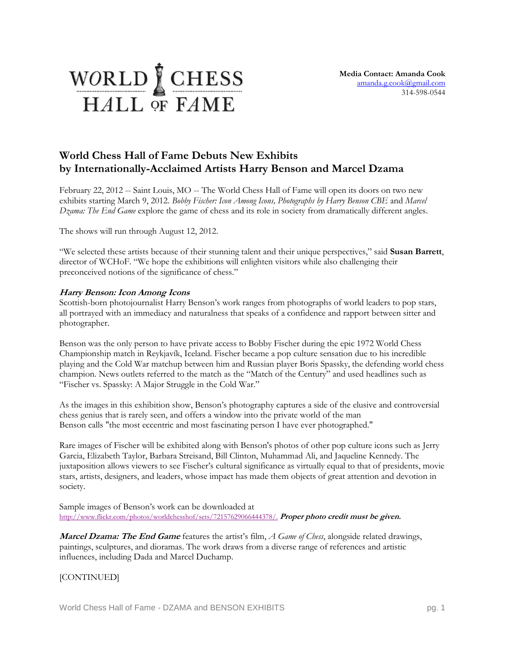## WORLD CHESS HALL OF FAME

## **World Chess Hall of Fame Debuts New Exhibits by Internationally-Acclaimed Artists Harry Benson and Marcel Dzama**

February 22, 2012 -- Saint Louis, MO -- The World Chess Hall of Fame will open its doors on two new exhibits starting March 9, 2012. *Bobby Fischer: Icon Among Icons, Photographs by Harry Benson CBE* and *Marcel Dzama: The End Game* explore the game of chess and its role in society from dramatically different angles.

The shows will run through August 12, 2012.

"We selected these artists because of their stunning talent and their unique perspectives," said **Susan Barrett**, director of WCHoF. "We hope the exhibitions will enlighten visitors while also challenging their preconceived notions of the significance of chess."

## **Harry Benson: Icon Among Icons**

Scottish-born photojournalist Harry Benson's work ranges from photographs of world leaders to pop stars, all portrayed with an immediacy and naturalness that speaks of a confidence and rapport between sitter and photographer.

Benson was the only person to have private access to Bobby Fischer during the epic 1972 World Chess Championship match in Reykjavík, Iceland. Fischer became a pop culture sensation due to his incredible playing and the Cold War matchup between him and Russian player Boris Spassky, the defending world chess champion. News outlets referred to the match as the "Match of the Century" and used headlines such as "Fischer vs. Spassky: A Major Struggle in the Cold War."

As the images in this exhibition show, Benson's photography captures a side of the elusive and controversial chess genius that is rarely seen, and offers a window into the private world of the man Benson calls "the most eccentric and most fascinating person I have ever photographed."

Rare images of Fischer will be exhibited along with Benson's photos of other pop culture icons such as Jerry Garcia, Elizabeth Taylor, Barbara Streisand, Bill Clinton, Muhammad Ali, and Jaqueline Kennedy. The juxtaposition allows viewers to see Fischer's cultural significance as virtually equal to that of presidents, movie stars, artists, designers, and leaders, whose impact has made them objects of great attention and devotion in society.

Sample images of Benson's work can be downloaded at [http://www.flickr.com/photos/worldchesshof/sets/72157629066444378/.](http://www.flickr.com/photos/worldchesshof/sets/72157629066444378/) **Proper photo credit must be given.**

**Marcel Dzama: The End Game** features the artist's film, *A Game of Chess*, alongside related drawings, paintings, sculptures, and dioramas. The work draws from a diverse range of references and artistic influences, including Dada and Marcel Duchamp.

[CONTINUED]